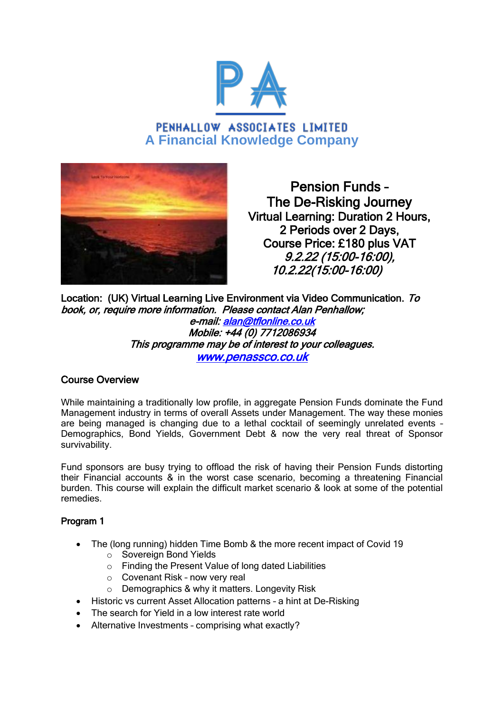

PENHALLOW ASSOCIATES LIMITED **A Financial Knowledge Company**



Pension Funds – The De-Risking Journey Virtual Learning: Duration 2 Hours, 2 Periods over 2 Days, Course Price: £180 plus VAT 9.2.22 (15:00-16:00), 10.2.22(15:00-16:00)

Location: (UK) Virtual Learning Live Environment via Video Communication. To book, or, require more information. Please contact Alan Penhallow; e-mail: [alan@tflonline.co.uk](mailto:alan@tflonline.co.uk)  Mobile: +44 (0) 7712086934 This programme may be of interest to your colleagues. [www.penassco.co.uk](http://www.penassco.co.uk/)

# Course Overview

While maintaining a traditionally low profile, in aggregate Pension Funds dominate the Fund Management industry in terms of overall Assets under Management. The way these monies are being managed is changing due to a lethal cocktail of seemingly unrelated events – Demographics, Bond Yields, Government Debt & now the very real threat of Sponsor survivability.

Fund sponsors are busy trying to offload the risk of having their Pension Funds distorting their Financial accounts & in the worst case scenario, becoming a threatening Financial burden. This course will explain the difficult market scenario & look at some of the potential remedies.

### Program 1

- The (long running) hidden Time Bomb & the more recent impact of Covid 19
	- o Sovereign Bond Yields
	- o Finding the Present Value of long dated Liabilities
	- o Covenant Risk now very real
	- o Demographics & why it matters. Longevity Risk
- Historic vs current Asset Allocation patterns a hint at De-Risking
- The search for Yield in a low interest rate world
- Alternative Investments comprising what exactly?